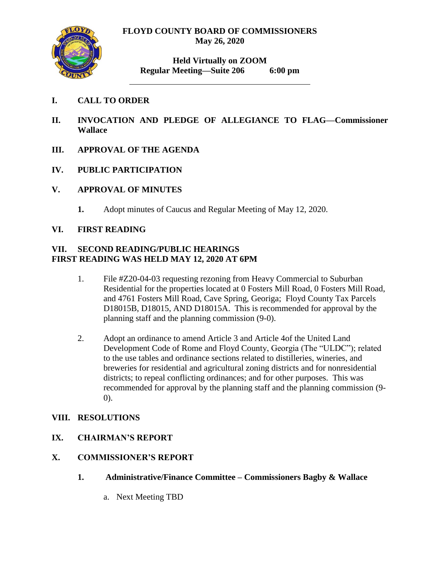

**Held Virtually on ZOOM Regular Meeting—Suite 206 6:00 pm**

# **I. CALL TO ORDER**

- **II. INVOCATION AND PLEDGE OF ALLEGIANCE TO FLAG—Commissioner Wallace**
- **III. APPROVAL OF THE AGENDA**
- **IV. PUBLIC PARTICIPATION**
- **V. APPROVAL OF MINUTES**
	- **1.** Adopt minutes of Caucus and Regular Meeting of May 12, 2020.

## **VI. FIRST READING**

## **VII. SECOND READING/PUBLIC HEARINGS FIRST READING WAS HELD MAY 12, 2020 AT 6PM**

- 1. File #Z20-04-03 requesting rezoning from Heavy Commercial to Suburban Residential for the properties located at 0 Fosters Mill Road, 0 Fosters Mill Road, and 4761 Fosters Mill Road, Cave Spring, Georiga; Floyd County Tax Parcels D18015B, D18015, AND D18015A. This is recommended for approval by the planning staff and the planning commission (9-0).
- 2. Adopt an ordinance to amend Article 3 and Article 4of the United Land Development Code of Rome and Floyd County, Georgia (The "ULDC"); related to the use tables and ordinance sections related to distilleries, wineries, and breweries for residential and agricultural zoning districts and for nonresidential districts; to repeal conflicting ordinances; and for other purposes. This was recommended for approval by the planning staff and the planning commission (9- 0).

## **VIII. RESOLUTIONS**

## **IX. CHAIRMAN'S REPORT**

## **X. COMMISSIONER'S REPORT**

- **1. Administrative/Finance Committee – Commissioners Bagby & Wallace**
	- a. Next Meeting TBD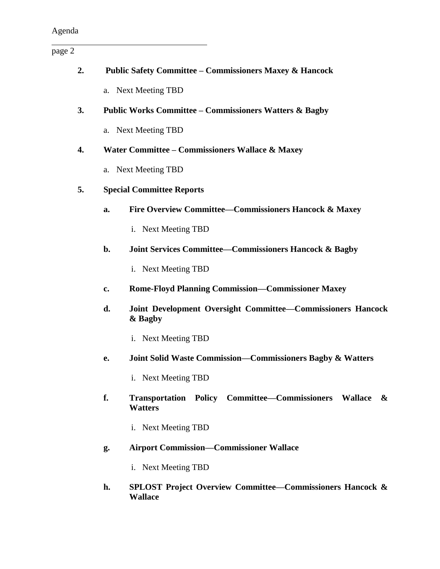page 2

| 2. |                                  | <b>Public Safety Committee - Commissioners Maxey &amp; Hancock</b>                                    |  |
|----|----------------------------------|-------------------------------------------------------------------------------------------------------|--|
|    |                                  | a. Next Meeting TBD                                                                                   |  |
| 3. |                                  | <b>Public Works Committee – Commissioners Watters &amp; Bagby</b>                                     |  |
|    |                                  | a. Next Meeting TBD                                                                                   |  |
| 4. |                                  | Water Committee - Commissioners Wallace & Maxey                                                       |  |
|    |                                  | a. Next Meeting TBD                                                                                   |  |
| 5. | <b>Special Committee Reports</b> |                                                                                                       |  |
|    | a.                               | Fire Overview Committee—Commissioners Hancock & Maxey                                                 |  |
|    |                                  | i. Next Meeting TBD                                                                                   |  |
|    | b.                               | <b>Joint Services Committee–Commissioners Hancock &amp; Bagby</b>                                     |  |
|    |                                  | i. Next Meeting TBD                                                                                   |  |
|    | c.                               | <b>Rome-Floyd Planning Commission-Commissioner Maxey</b>                                              |  |
|    | d.                               | Joint Development Oversight Committee-Commissioners Hancock<br>& Bagby                                |  |
|    |                                  | i. Next Meeting TBD                                                                                   |  |
|    | e.                               | <b>Joint Solid Waste Commission—Commissioners Bagby &amp; Watters</b>                                 |  |
|    |                                  | i. Next Meeting TBD                                                                                   |  |
|    | f.                               | Transportation Policy Committee–Commissioners Wallace<br>$\boldsymbol{\mathcal{X}}$<br><b>Watters</b> |  |
|    |                                  | i. Next Meeting TBD                                                                                   |  |
|    | g.                               | <b>Airport Commission-Commissioner Wallace</b>                                                        |  |
|    |                                  | i. Next Meeting TBD                                                                                   |  |
|    | h.                               | <b>SPLOST Project Overview Committee–Commissioners Hancock &amp;</b><br><b>Wallace</b>                |  |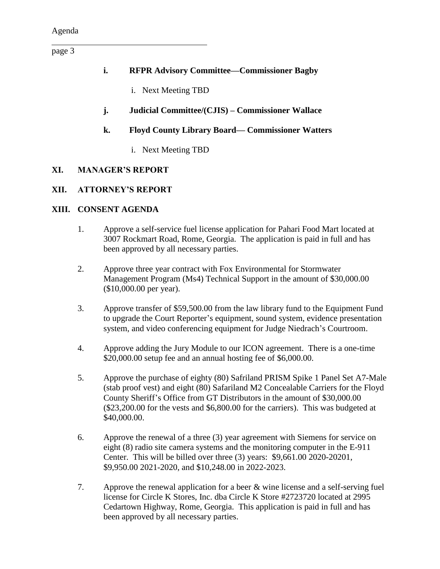page 3

- **i. RFPR Advisory Committee—Commissioner Bagby** 
	- i. Next Meeting TBD
- **j. Judicial Committee/(CJIS) – Commissioner Wallace**

## **k. Floyd County Library Board— Commissioner Watters**

i. Next Meeting TBD

## **XI. MANAGER'S REPORT**

## **XII. ATTORNEY'S REPORT**

## **XIII. CONSENT AGENDA**

- 1. Approve a self-service fuel license application for Pahari Food Mart located at 3007 Rockmart Road, Rome, Georgia. The application is paid in full and has been approved by all necessary parties.
- 2. Approve three year contract with Fox Environmental for Stormwater Management Program (Ms4) Technical Support in the amount of \$30,000.00 (\$10,000.00 per year).
- 3. Approve transfer of \$59,500.00 from the law library fund to the Equipment Fund to upgrade the Court Reporter's equipment, sound system, evidence presentation system, and video conferencing equipment for Judge Niedrach's Courtroom.
- 4. Approve adding the Jury Module to our ICON agreement. There is a one-time \$20,000.00 setup fee and an annual hosting fee of \$6,000.00.
- 5. Approve the purchase of eighty (80) Safriland PRISM Spike 1 Panel Set A7-Male (stab proof vest) and eight (80) Safariland M2 Concealable Carriers for the Floyd County Sheriff's Office from GT Distributors in the amount of \$30,000.00 (\$23,200.00 for the vests and \$6,800.00 for the carriers). This was budgeted at \$40,000.00.
- 6. Approve the renewal of a three (3) year agreement with Siemens for service on eight (8) radio site camera systems and the monitoring computer in the E-911 Center. This will be billed over three (3) years: \$9,661.00 2020-20201, \$9,950.00 2021-2020, and \$10,248.00 in 2022-2023.
- 7. Approve the renewal application for a beer & wine license and a self-serving fuel license for Circle K Stores, Inc. dba Circle K Store #2723720 located at 2995 Cedartown Highway, Rome, Georgia. This application is paid in full and has been approved by all necessary parties.